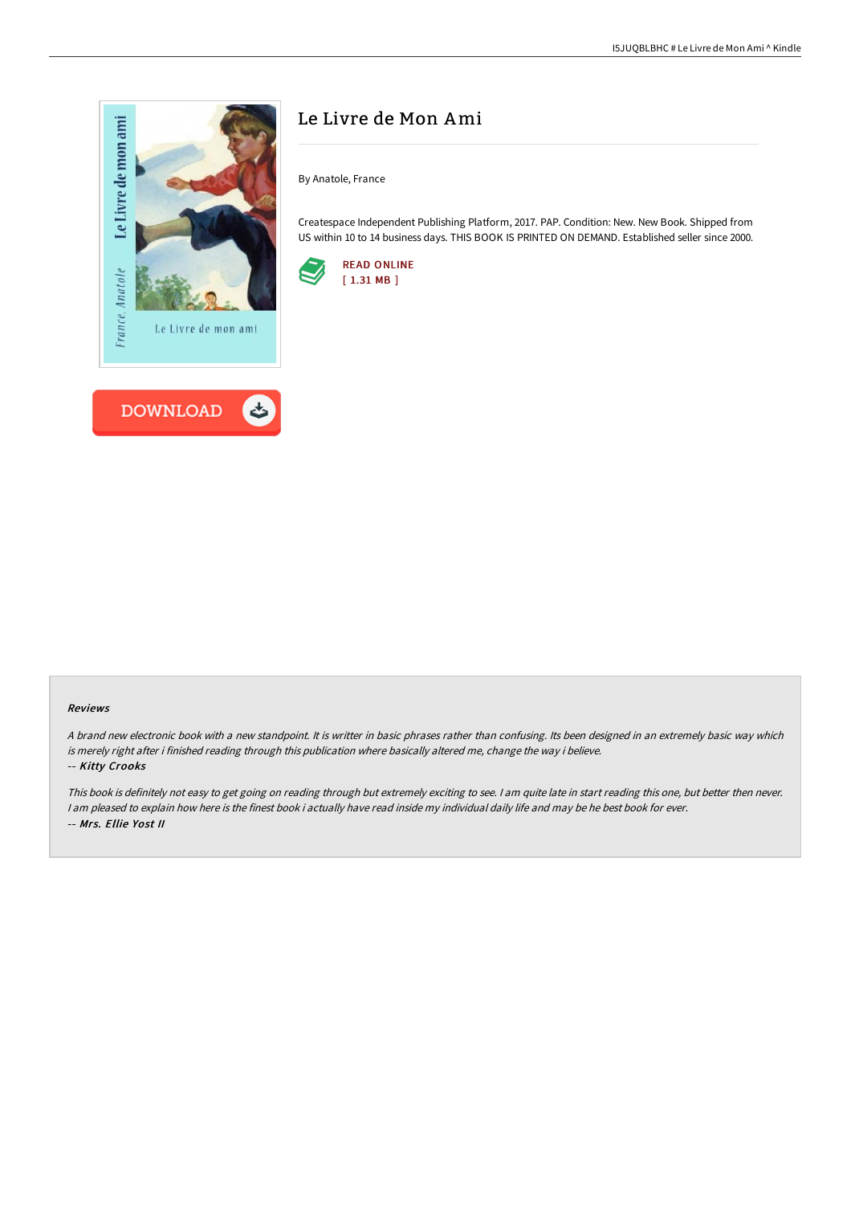



# Le Livre de Mon Ami

By Anatole, France

Createspace Independent Publishing Platform, 2017. PAP. Condition: New. New Book. Shipped from US within 10 to 14 business days. THIS BOOK IS PRINTED ON DEMAND. Established seller since 2000.



#### Reviews

<sup>A</sup> brand new electronic book with <sup>a</sup> new standpoint. It is writter in basic phrases rather than confusing. Its been designed in an extremely basic way which is merely right after i finished reading through this publication where basically altered me, change the way i believe. -- Kitty Crooks

This book is definitely not easy to get going on reading through but extremely exciting to see. <sup>I</sup> am quite late in start reading this one, but better then never. I am pleased to explain how here is the finest book i actually have read inside my individual daily life and may be he best book for ever. -- Mrs. Ellie Yost II